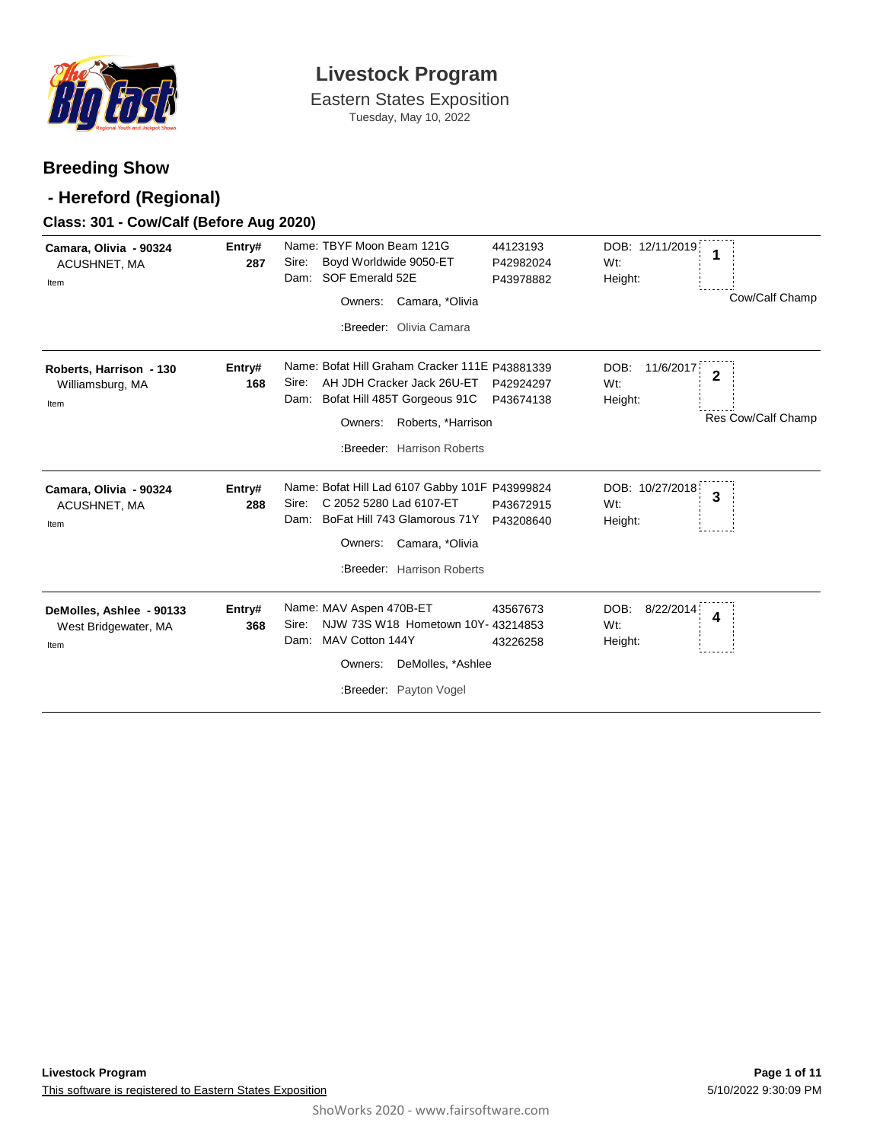

Eastern States Exposition Tuesday, May 10, 2022

### **Breeding Show**

### **- Hereford (Regional)**

### **Class: 301 - Cow/Calf (Before Aug 2020)**

| Camara, Olivia - 90324<br>ACUSHNET, MA<br>Item           | Entry#<br>287 | Name: TBYF Moon Beam 121G<br>Boyd Worldwide 9050-ET<br>Sire:<br>SOF Emerald 52E<br>Dam:<br>Camara, *Olivia<br>Owners:<br>:Breeder: Olivia Camara                                             | 44123193<br>P42982024<br>P43978882 | DOB: 12/11/2019<br>1<br>Wt:<br>Height:<br>Cow/Calf Champ                  |
|----------------------------------------------------------|---------------|----------------------------------------------------------------------------------------------------------------------------------------------------------------------------------------------|------------------------------------|---------------------------------------------------------------------------|
| Roberts, Harrison - 130<br>Williamsburg, MA<br>Item      | Entry#<br>168 | Name: Bofat Hill Graham Cracker 111E P43881339<br>AH JDH Cracker Jack 26U-ET<br>Sire:<br>Bofat Hill 485T Gorgeous 91C<br>Dam:<br>Owners:<br>Roberts, *Harrison<br>:Breeder: Harrison Roberts | P42924297<br>P43674138             | DOB:<br>11/6/2017<br>$\mathbf{2}$<br>Wt:<br>Height:<br>Res Cow/Calf Champ |
| Camara, Olivia - 90324<br>ACUSHNET, MA<br>Item           | Entry#<br>288 | Name: Bofat Hill Lad 6107 Gabby 101F P43999824<br>C 2052 5280 Lad 6107-ET<br>Sire:<br>BoFat Hill 743 Glamorous 71Y<br>Dam:<br>Camara, *Olivia<br>Owners:<br>:Breeder: Harrison Roberts       | P43672915<br>P43208640             | DOB: 10/27/2018<br>3<br>Wt:<br>Height:                                    |
| DeMolles, Ashlee - 90133<br>West Bridgewater, MA<br>Item | Entry#<br>368 | Name: MAV Aspen 470B-ET<br>NJW 73S W18 Hometown 10Y- 43214853<br>Sire:<br>MAV Cotton 144Y<br>Dam:<br>DeMolles, *Ashlee<br>Owners:<br>:Breeder: Payton Vogel                                  | 43567673<br>43226258               | DOB:<br>8/22/2014<br>4<br>Wt:<br>Height:                                  |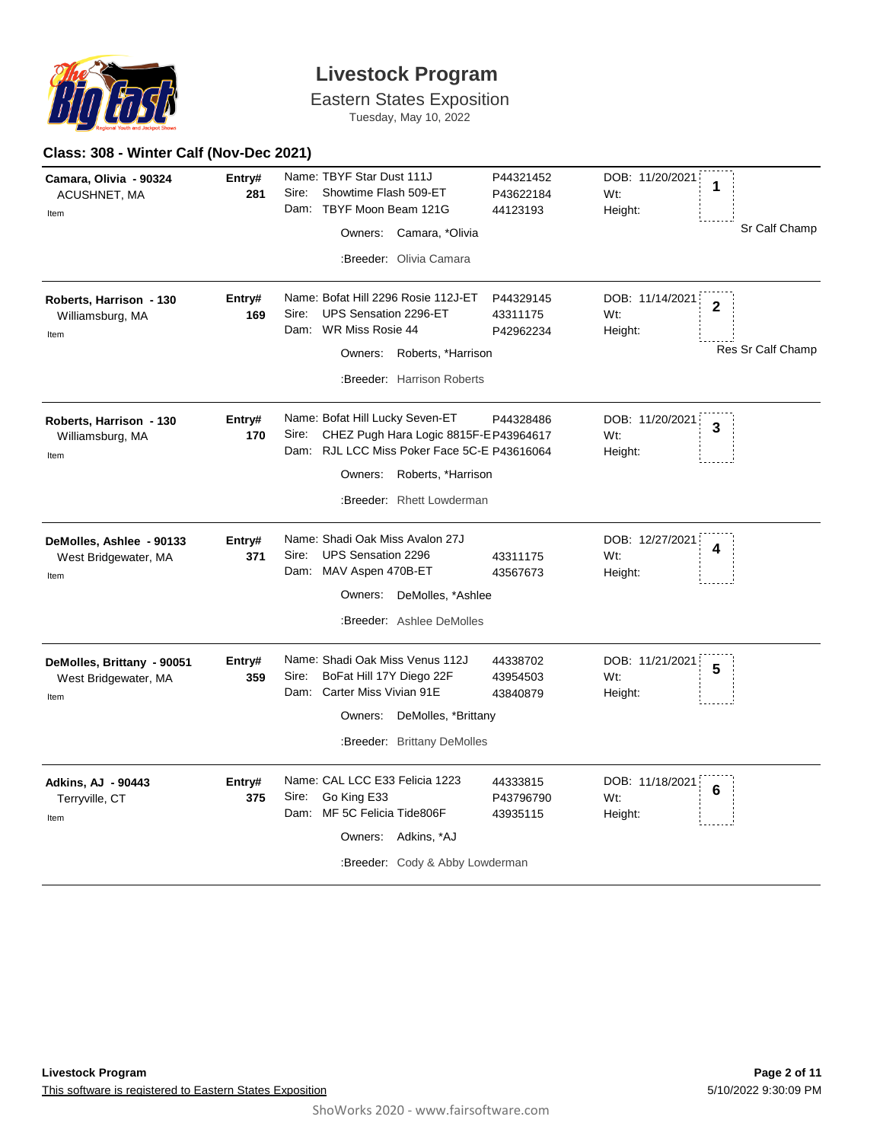

Eastern States Exposition

Tuesday, May 10, 2022

### **Class: 308 - Winter Calf (Nov-Dec 2021)**

| Camara, Olivia - 90324<br>ACUSHNET, MA<br>Item             | Entry#<br>281 | Name: TBYF Star Dust 111J<br>Sire:<br>Showtime Flash 509-ET<br>Dam: TBYF Moon Beam 121G<br>Owners: Camara, *Olivia<br>:Breeder: Olivia Camara                                                | P44321452<br>P43622184<br>44123193 | DOB: 11/20/2021<br>1<br>Wt:<br>Height:<br>Sr Calf Champ                  |
|------------------------------------------------------------|---------------|----------------------------------------------------------------------------------------------------------------------------------------------------------------------------------------------|------------------------------------|--------------------------------------------------------------------------|
| Roberts, Harrison - 130<br>Williamsburg, MA<br>Item        | Entry#<br>169 | Name: Bofat Hill 2296 Rosie 112J-ET<br>Sire:<br>UPS Sensation 2296-ET<br>Dam: WR Miss Rosie 44<br>Owners: Roberts, *Harrison<br>:Breeder: Harrison Roberts                                   | P44329145<br>43311175<br>P42962234 | DOB: 11/14/2021<br>$\overline{2}$<br>Wt:<br>Height:<br>Res Sr Calf Champ |
| Roberts, Harrison - 130<br>Williamsburg, MA<br>Item        | Entry#<br>170 | Name: Bofat Hill Lucky Seven-ET<br>Sire:<br>CHEZ Pugh Hara Logic 8815F-E P43964617<br>Dam: RJL LCC Miss Poker Face 5C-E P43616064<br>Owners: Roberts, *Harrison<br>:Breeder: Rhett Lowderman | P44328486                          | DOB: 11/20/2021<br>3<br>Wt:<br>Height:                                   |
| DeMolles, Ashlee - 90133<br>West Bridgewater, MA<br>Item   | Entry#<br>371 | Name: Shadi Oak Miss Avalon 27J<br><b>UPS Sensation 2296</b><br>Sire:<br>Dam: MAV Aspen 470B-ET<br>Owners: DeMolles, *Ashlee<br>:Breeder: Ashlee DeMolles                                    | 43311175<br>43567673               | DOB: 12/27/2021<br>4<br>Wt:<br>Height:                                   |
| DeMolles, Brittany - 90051<br>West Bridgewater, MA<br>Item | Entry#<br>359 | Name: Shadi Oak Miss Venus 112J<br>BoFat Hill 17Y Diego 22F<br>Sire:<br>Dam: Carter Miss Vivian 91E<br>DeMolles, *Brittany<br>Owners:<br>:Breeder: Brittany DeMolles                         | 44338702<br>43954503<br>43840879   | DOB: 11/21/2021<br>5<br>Wt:<br>Height:                                   |
| <b>Adkins, AJ - 90443</b><br>Terryville, CT<br>Item        | Entry#<br>375 | Name: CAL LCC E33 Felicia 1223<br>Go King E33<br>Sire:<br>Dam: MF 5C Felicia Tide806F<br>Owners: Adkins, *AJ<br>:Breeder: Cody & Abby Lowderman                                              | 44333815<br>P43796790<br>43935115  | DOB: 11/18/2021<br>6<br>Wt:<br>Height:                                   |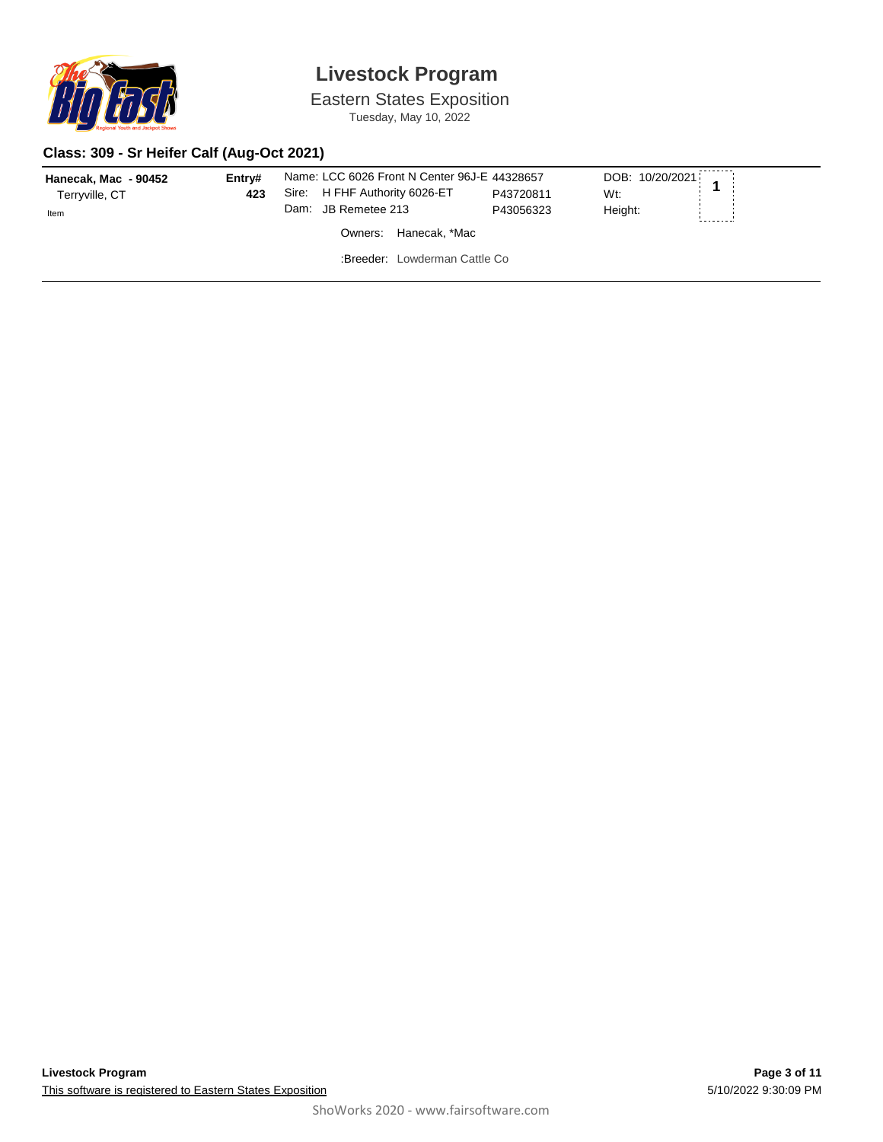

Eastern States Exposition Tuesday, May 10, 2022

### **Class: 309 - Sr Heifer Calf (Aug-Oct 2021)**

| Hanecak, Mac - 90452 | Entrv# | Name: LCC 6026 Front N Center 96J-E 44328657 |           | DOB: 10/20/2021 1 |  |
|----------------------|--------|----------------------------------------------|-----------|-------------------|--|
| Terryville, CT       | 423    | Sire: H FHF Authority 6026-ET                | P43720811 | Wt:               |  |
| Item                 |        | Dam: JB Remetee 213                          | P43056323 | Height:           |  |
|                      |        | Owners: Hanecak. *Mac                        |           |                   |  |
|                      |        | :Breeder: Lowderman Cattle Co                |           |                   |  |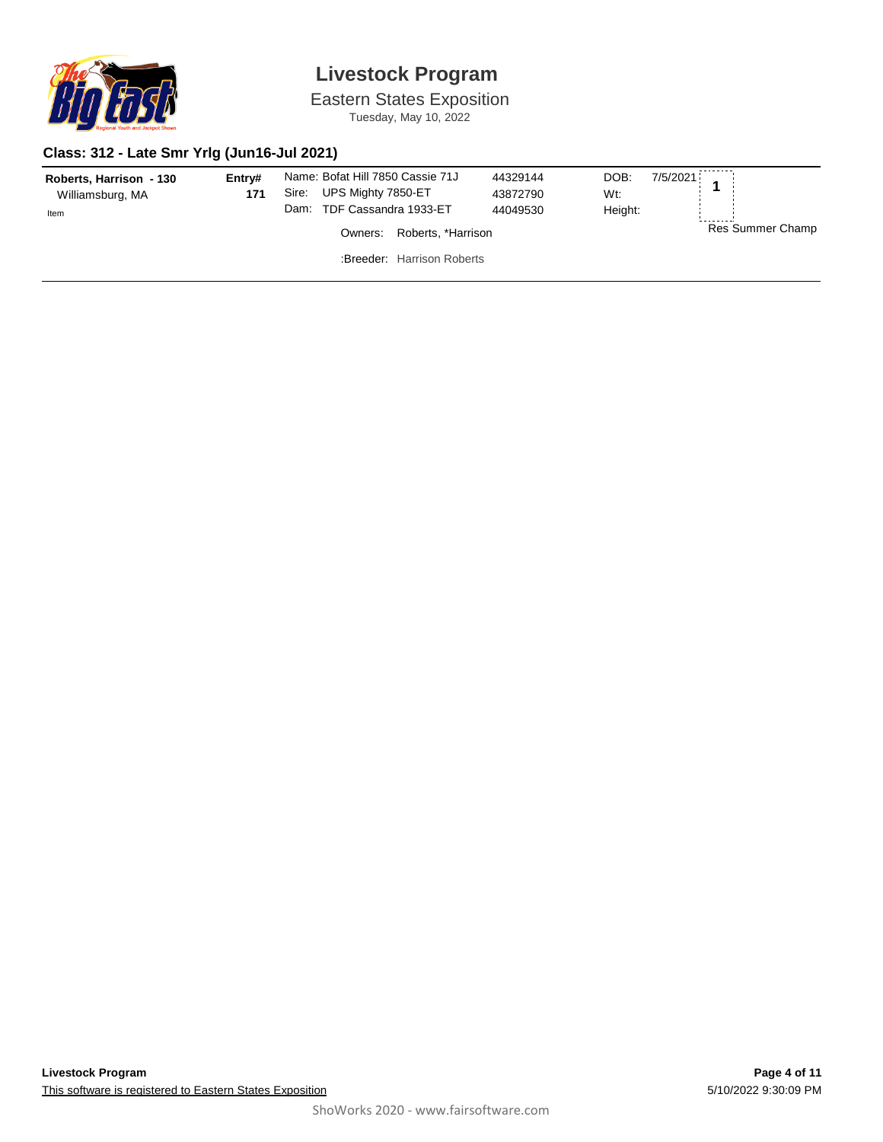

Eastern States Exposition Tuesday, May 10, 2022

#### **Class: 312 - Late Smr Yrlg (Jun16-Jul 2021)**

| Roberts, Harrison - 130<br>Williamsburg, MA<br>Item | Entry#<br>171 | Name: Bofat Hill 7850 Cassie 71J<br>UPS Mighty 7850-ET<br>Sire:<br>TDF Cassandra 1933-ET<br>Dam: |                            | 44329144<br>43872790<br>44049530 | DOB:<br>$7/5/2021$ 1<br>Wt:<br>Height: |                  |
|-----------------------------------------------------|---------------|--------------------------------------------------------------------------------------------------|----------------------------|----------------------------------|----------------------------------------|------------------|
|                                                     |               | Owners:                                                                                          | Roberts, *Harrison         |                                  |                                        | Res Summer Champ |
|                                                     |               |                                                                                                  | :Breeder: Harrison Roberts |                                  |                                        |                  |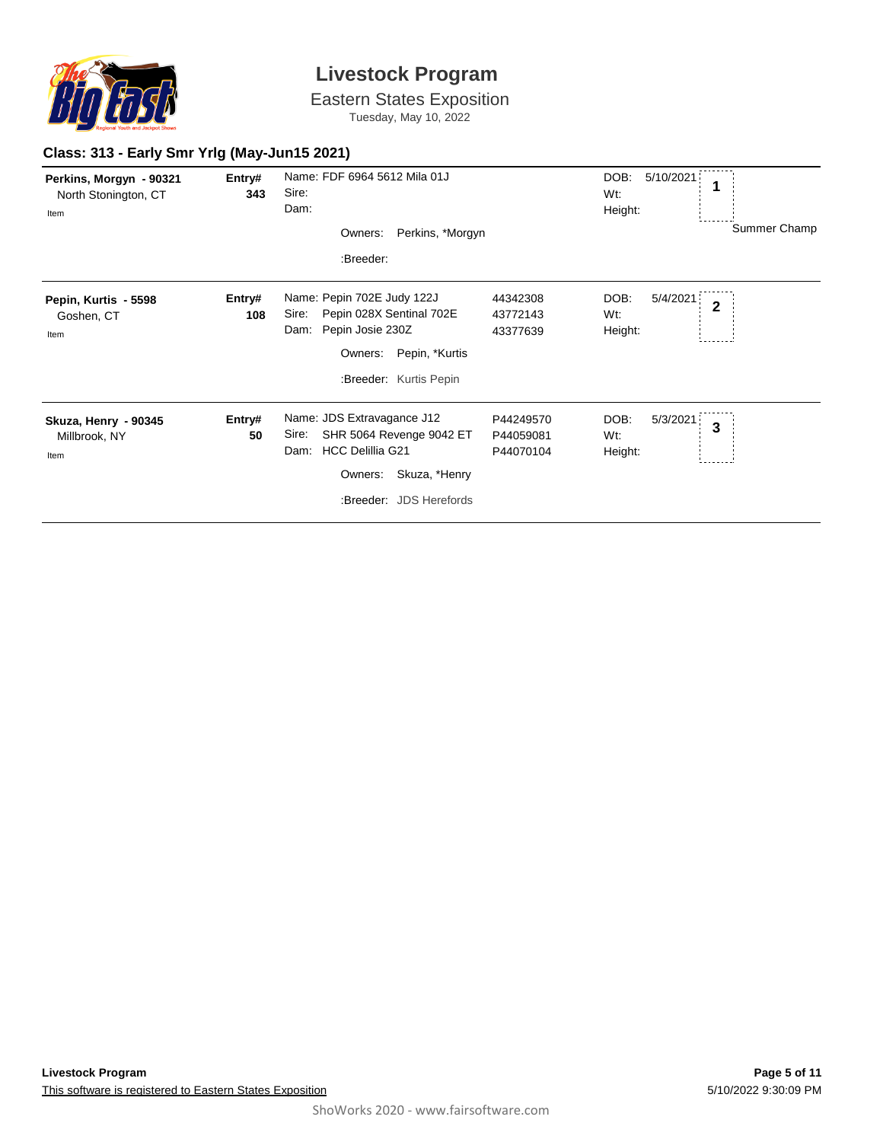

Eastern States Exposition Tuesday, May 10, 2022

### **Class: 313 - Early Smr Yrlg (May-Jun15 2021)**

| Perkins, Morgyn - 90321<br>North Stonington, CT<br>Item | Entry#<br>343 | Name: FDF 6964 5612 Mila 01J<br>Sire:<br>Dam:<br>Perkins, *Morgyn<br>Owners:<br>:Breeder:                                                                 |                                     | DOB:<br>5/10/2021<br>1<br>Wt:<br>Height:             | Summer Champ |
|---------------------------------------------------------|---------------|-----------------------------------------------------------------------------------------------------------------------------------------------------------|-------------------------------------|------------------------------------------------------|--------------|
| Pepin, Kurtis - 5598<br>Goshen, CT<br>Item              | Entry#<br>108 | Name: Pepin 702E Judy 122J<br>Pepin 028X Sentinal 702E<br>Sire:<br>Pepin Josie 230Z<br>Dam:<br>Pepin, *Kurtis<br>Owners:<br>:Breeder: Kurtis Pepin        | 44342308<br>43772143<br>43377639    | DOB:<br>5/4/2021<br>$\overline{2}$<br>Wt:<br>Height: |              |
| Skuza, Henry - 90345<br>Millbrook, NY<br>Item           | Entry#<br>50  | Name: JDS Extravagance J12<br>SHR 5064 Revenge 9042 ET<br>Sire:<br><b>HCC Delillia G21</b><br>Dam:<br>Skuza, *Henry<br>Owners:<br>:Breeder: JDS Herefords | P44249570<br>P44059081<br>P44070104 | DOB:<br>5/3/2021<br>$\mathbf{3}$<br>Wt:<br>Height:   |              |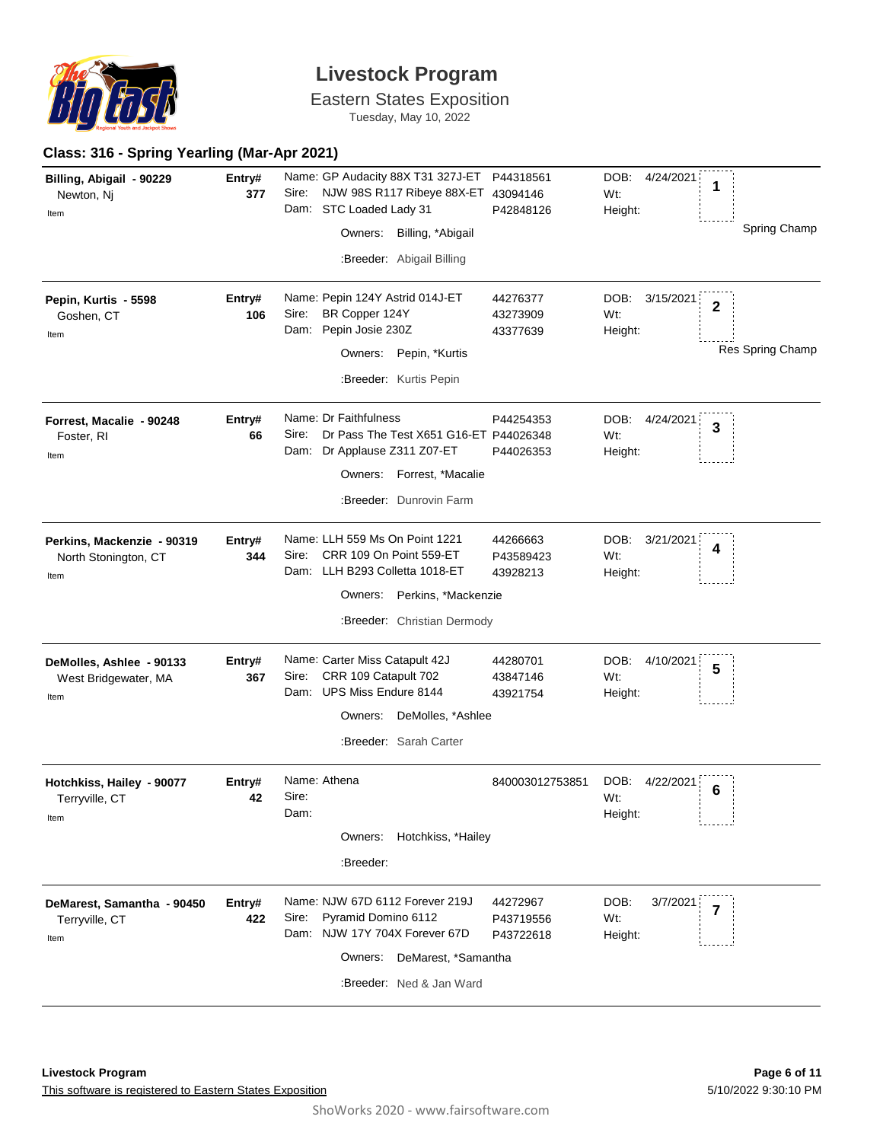

Eastern States Exposition

Tuesday, May 10, 2022

### **Class: 316 - Spring Yearling (Mar-Apr 2021)**

| Billing, Abigail - 90229<br>Newton, Nj<br>Item             | Entry#<br>377 | Name: GP Audacity 88X T31 327J-ET<br>NJW 98S R117 Ribeye 88X-ET 43094146<br>Sire:<br>Dam: STC Loaded Lady 31<br>Owners: Billing, *Abigail<br>:Breeder: Abigail Billing | P44318561<br>P42848126             | DOB: 4/24/2021<br>1<br>Wt:<br>Height:                          | Spring Champ     |
|------------------------------------------------------------|---------------|------------------------------------------------------------------------------------------------------------------------------------------------------------------------|------------------------------------|----------------------------------------------------------------|------------------|
| Pepin, Kurtis - 5598<br>Goshen, CT<br>Item                 | Entry#<br>106 | Name: Pepin 124Y Astrid 014J-ET<br>BR Copper 124Y<br>Sire:<br>Dam: Pepin Josie 230Z<br>Owners: Pepin, *Kurtis<br>:Breeder: Kurtis Pepin                                | 44276377<br>43273909<br>43377639   | DOB:<br>3/15/2021<br>$\overline{\mathbf{2}}$<br>Wt:<br>Height: | Res Spring Champ |
| Forrest, Macalie - 90248<br>Foster, RI<br>Item             | Entry#<br>66  | Name: Dr Faithfulness<br>Sire:<br>Dr Pass The Test X651 G16-ET P44026348<br>Dam: Dr Applause Z311 Z07-ET<br>Owners: Forrest, *Macalie<br>:Breeder: Dunrovin Farm       | P44254353<br>P44026353             | DOB:<br>4/24/2021<br>3<br>Wt:<br>Height:                       |                  |
| Perkins, Mackenzie - 90319<br>North Stonington, CT<br>Item | Entry#<br>344 | Name: LLH 559 Ms On Point 1221<br>Sire:<br>CRR 109 On Point 559-ET<br>Dam: LLH B293 Colletta 1018-ET<br>Owners: Perkins, *Mackenzie<br>:Breeder: Christian Dermody     | 44266663<br>P43589423<br>43928213  | DOB:<br>3/21/2021<br>4<br>Wt:<br>Height:                       |                  |
| DeMolles, Ashlee - 90133<br>West Bridgewater, MA<br>Item   | Entry#<br>367 | Name: Carter Miss Catapult 42J<br>CRR 109 Catapult 702<br>Sire:<br>Dam: UPS Miss Endure 8144<br>DeMolles, *Ashlee<br>Owners:<br>:Breeder: Sarah Carter                 | 44280701<br>43847146<br>43921754   | DOB:<br>4/10/2021<br>5<br>Wt:<br>Height:                       |                  |
| Hotchkiss, Hailey - 90077<br>Terryville, CT<br>Item        | Entry#<br>42  | Name: Athena<br>Sire:<br>Dam:<br>Owners: Hotchkiss, *Hailey<br>:Breeder:                                                                                               | 840003012753851                    | DOB:<br>4/22/2021<br>6<br>Wt:<br>Height:                       |                  |
| DeMarest, Samantha - 90450<br>Terryville, CT<br>Item       | Entry#<br>422 | Name: NJW 67D 6112 Forever 219J<br>Pyramid Domino 6112<br>Sire:<br>Dam: NJW 17Y 704X Forever 67D<br>Owners: DeMarest, *Samantha<br>:Breeder: Ned & Jan Ward            | 44272967<br>P43719556<br>P43722618 | DOB:<br>3/7/2021<br>7<br>Wt:<br>Height:                        |                  |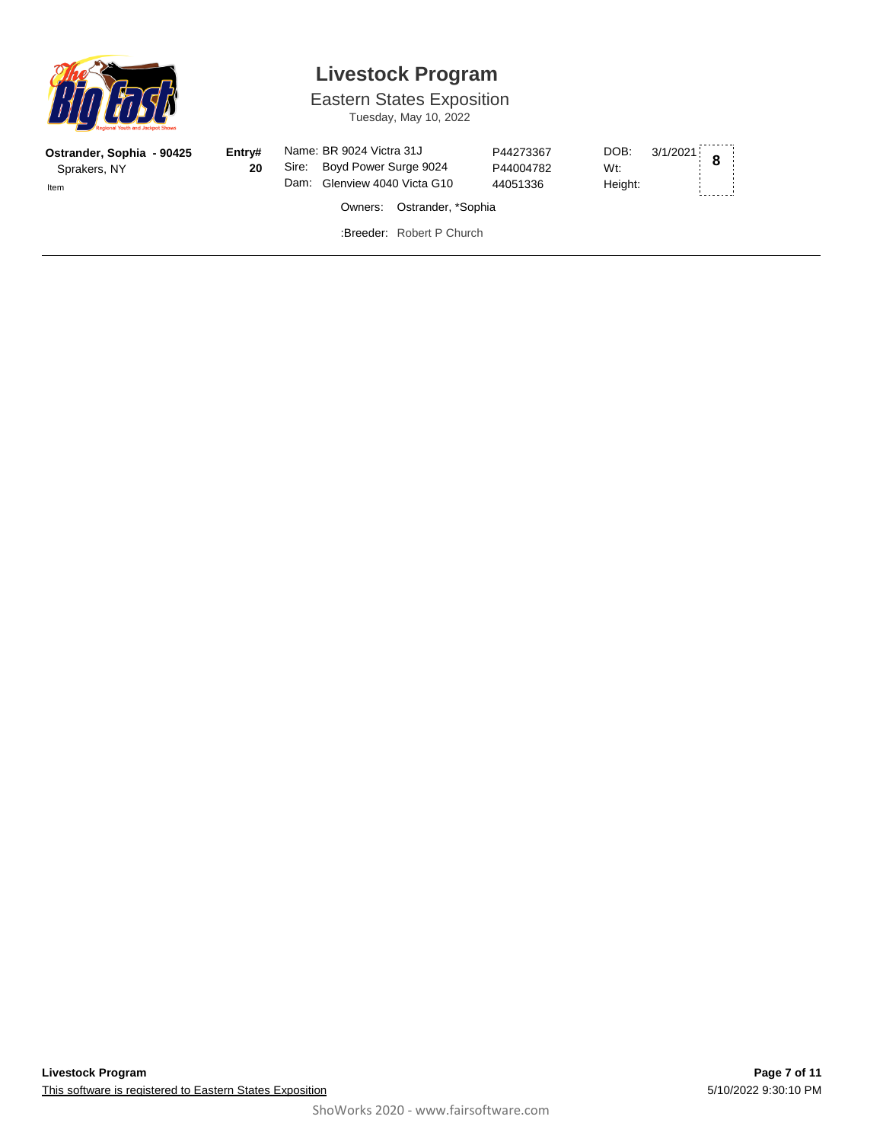

## **Livestock Program**

Eastern States Exposition

Tuesday, May 10, 2022

| Ostrander, Sophia - 90425<br>Sprakers, NY<br>Item | Entry#<br>20 | Name: BR 9024 Victra 31J<br>Sire: Boyd Power Surge 9024<br>Dam: Glenview 4040 Victa G10<br>Owners: Ostrander, *Sophia | P44273367<br>P44004782<br>44051336 | $3/1/2021$ 8<br>DOB:<br>Wt:<br>Height: |  |
|---------------------------------------------------|--------------|-----------------------------------------------------------------------------------------------------------------------|------------------------------------|----------------------------------------|--|
|                                                   |              | :Breeder: Robert P Church                                                                                             |                                    |                                        |  |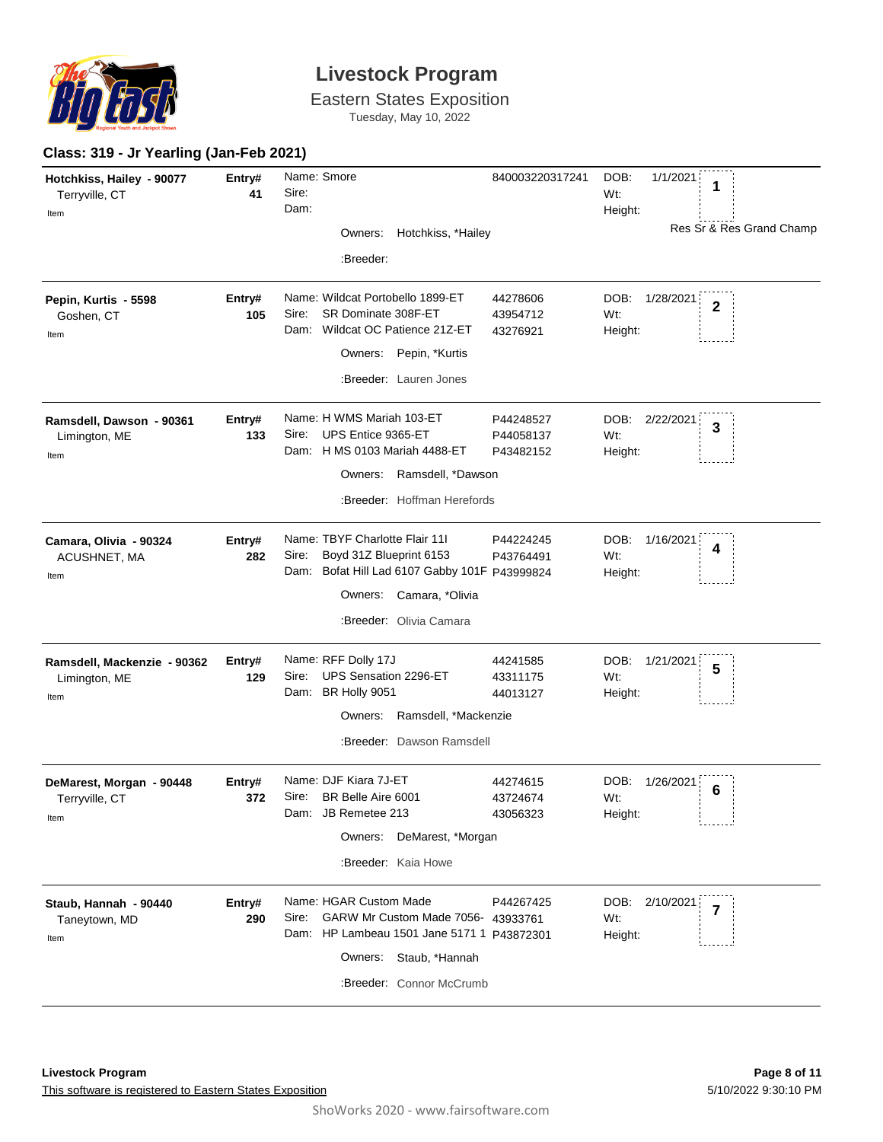

Eastern States Exposition

Tuesday, May 10, 2022

#### **Class: 319 - Jr Yearling (Jan-Feb 2021)**

| Hotchkiss, Hailey - 90077<br>Terryville, CT<br>Item  | Entry#<br>41  | Name: Smore<br>Sire:<br>Dam:<br>Owners: Hotchkiss, *Hailey                                                                                                                | 840003220317241                     | DOB:<br>1/1/2021<br>1<br>Wt:<br>Height:<br>Res Sr & Res Grand Champ |
|------------------------------------------------------|---------------|---------------------------------------------------------------------------------------------------------------------------------------------------------------------------|-------------------------------------|---------------------------------------------------------------------|
|                                                      |               | :Breeder:                                                                                                                                                                 |                                     |                                                                     |
| Pepin, Kurtis - 5598<br>Goshen, CT<br>Item           | Entry#<br>105 | Name: Wildcat Portobello 1899-ET<br>SR Dominate 308F-ET<br>Sire:<br>Wildcat OC Patience 21Z-ET<br>Dam:<br>Owners: Pepin, *Kurtis                                          | 44278606<br>43954712<br>43276921    | DOB:<br>1/28/2021<br>$\overline{2}$<br>Wt:<br>Height:               |
|                                                      |               | :Breeder: Lauren Jones                                                                                                                                                    |                                     |                                                                     |
| Ramsdell, Dawson - 90361<br>Limington, ME<br>Item    | Entry#<br>133 | Name: H WMS Mariah 103-ET<br>Sire:<br>UPS Entice 9365-ET<br>Dam: H MS 0103 Mariah 4488-ET                                                                                 | P44248527<br>P44058137<br>P43482152 | DOB: 2/22/2021<br>$\overline{\mathbf{3}}$<br>Wt:<br>Height:         |
|                                                      |               | Owners: Ramsdell, *Dawson                                                                                                                                                 |                                     |                                                                     |
|                                                      |               | :Breeder: Hoffman Herefords                                                                                                                                               |                                     |                                                                     |
| Camara, Olivia - 90324<br>ACUSHNET, MA<br>Item       | Entry#<br>282 | Name: TBYF Charlotte Flair 111<br>Boyd 31Z Blueprint 6153<br>Sire:<br>Dam: Bofat Hill Lad 6107 Gabby 101F P43999824                                                       | P44224245<br>P43764491              | DOB:<br>1/16/2021<br>4<br>Wt:<br>Height:                            |
|                                                      |               | Owners: Camara, *Olivia                                                                                                                                                   |                                     |                                                                     |
|                                                      |               | :Breeder: Olivia Camara                                                                                                                                                   |                                     |                                                                     |
| Ramsdell, Mackenzie - 90362<br>Limington, ME<br>Item | Entry#<br>129 | Name: RFF Dolly 17J<br>UPS Sensation 2296-ET<br>Sire:<br>Dam: BR Holly 9051                                                                                               | 44241585<br>43311175<br>44013127    | DOB:<br>1/21/2021<br>5<br>Wt:<br>Height:                            |
|                                                      |               | Ramsdell, *Mackenzie<br>Owners:                                                                                                                                           |                                     |                                                                     |
|                                                      |               | :Breeder: Dawson Ramsdell                                                                                                                                                 |                                     |                                                                     |
| DeMarest, Morgan - 90448<br>Terryville, CT<br>Item   | Entry#<br>372 | Name: DJF Kiara 7J-ET<br>BR Belle Aire 6001<br>Sire:<br>Dam: JB Remetee 213                                                                                               | 44274615<br>43724674<br>43056323    | DOB:<br>1/26/2021<br>6<br>Wt:<br>Height:                            |
|                                                      |               | Owners: DeMarest, *Morgan                                                                                                                                                 |                                     |                                                                     |
|                                                      |               | :Breeder: Kaia Howe                                                                                                                                                       |                                     |                                                                     |
| Staub, Hannah - 90440<br>Taneytown, MD<br>Item       | Entry#<br>290 | Name: HGAR Custom Made<br>GARW Mr Custom Made 7056- 43933761<br>Sire:<br>Dam: HP Lambeau 1501 Jane 5171 1 P43872301<br>Owners: Staub, *Hannah<br>:Breeder: Connor McCrumb | P44267425                           | DOB:<br>2/10/2021<br>7<br>Wt:<br>Height:                            |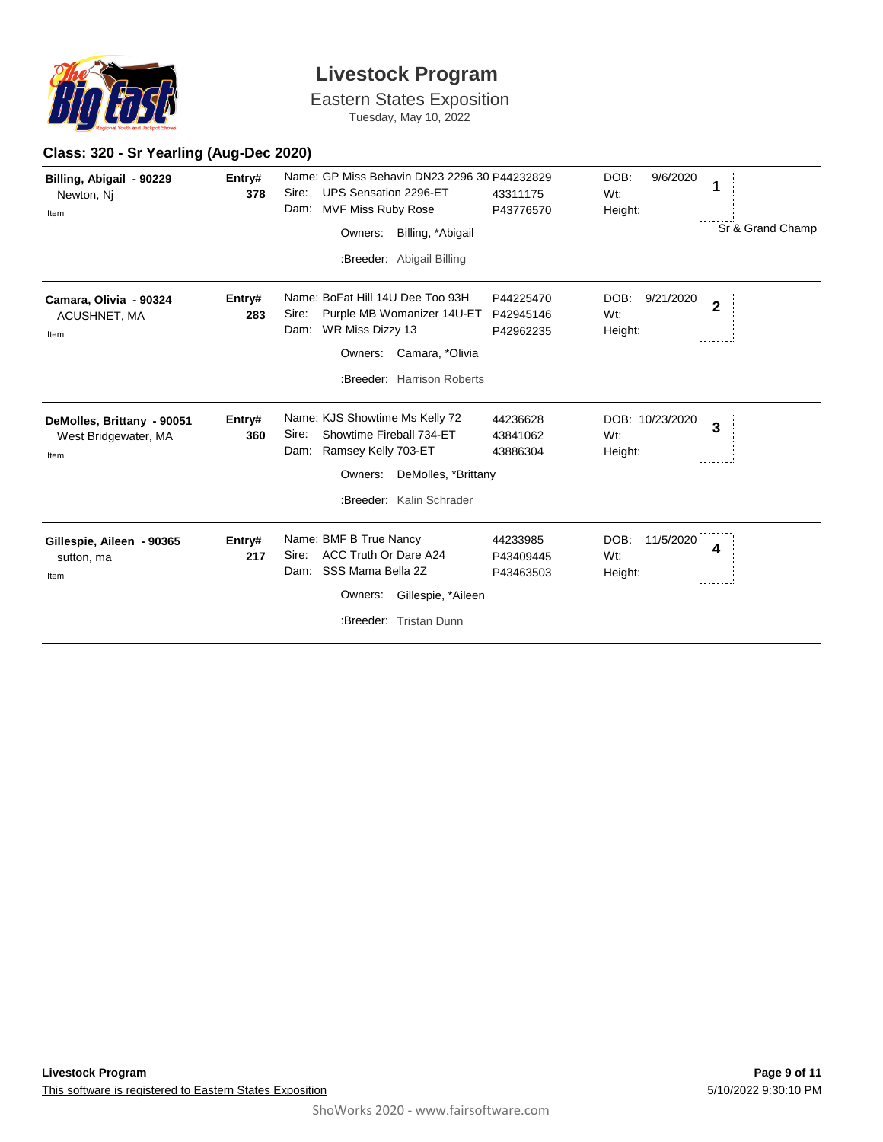

Eastern States Exposition

Tuesday, May 10, 2022

#### **Class: 320 - Sr Yearling (Aug-Dec 2020)**

| Billing, Abigail - 90229<br>Newton, Nj<br>Item             | Entry#<br>378 | Name: GP Miss Behavin DN23 2296 30 P44232829<br>Sire:<br>UPS Sensation 2296-ET<br>Dam:<br><b>MVF Miss Ruby Rose</b><br>Billing, *Abigail<br>Owners:<br>:Breeder: Abigail Billing | 43311175<br>P43776570               | DOB:<br>9/6/2020<br>1<br>Wt:<br>Height:<br>Sr & Grand Champ |
|------------------------------------------------------------|---------------|----------------------------------------------------------------------------------------------------------------------------------------------------------------------------------|-------------------------------------|-------------------------------------------------------------|
| Camara, Olivia - 90324<br>ACUSHNET, MA<br>Item             | Entry#<br>283 | Name: BoFat Hill 14U Dee Too 93H<br>Purple MB Womanizer 14U-ET<br>Sire:<br>WR Miss Dizzy 13<br>Dam:<br>Owners:<br>Camara, *Olivia<br>:Breeder: Harrison Roberts                  | P44225470<br>P42945146<br>P42962235 | DOB:<br>9/21/2020<br>$\overline{2}$<br>Wt:<br>Height:       |
| DeMolles, Brittany - 90051<br>West Bridgewater, MA<br>Item | Entry#<br>360 | Name: KJS Showtime Ms Kelly 72<br>Showtime Fireball 734-ET<br>Sire:<br>Ramsey Kelly 703-ET<br>Dam:<br>DeMolles, *Brittany<br>Owners:<br>:Breeder: Kalin Schrader                 | 44236628<br>43841062<br>43886304    | DOB: 10/23/2020<br>$\overline{3}$<br>Wt:<br>Height:         |
| Gillespie, Aileen - 90365<br>sutton, ma<br>Item            | Entry#<br>217 | Name: BMF B True Nancy<br>ACC Truth Or Dare A24<br>Sire:<br>Dam: SSS Mama Bella 2Z<br>Owners:<br>Gillespie, *Aileen<br>:Breeder: Tristan Dunn                                    | 44233985<br>P43409445<br>P43463503  | DOB:<br>11/5/2020<br>4<br>Wt:<br>Height:                    |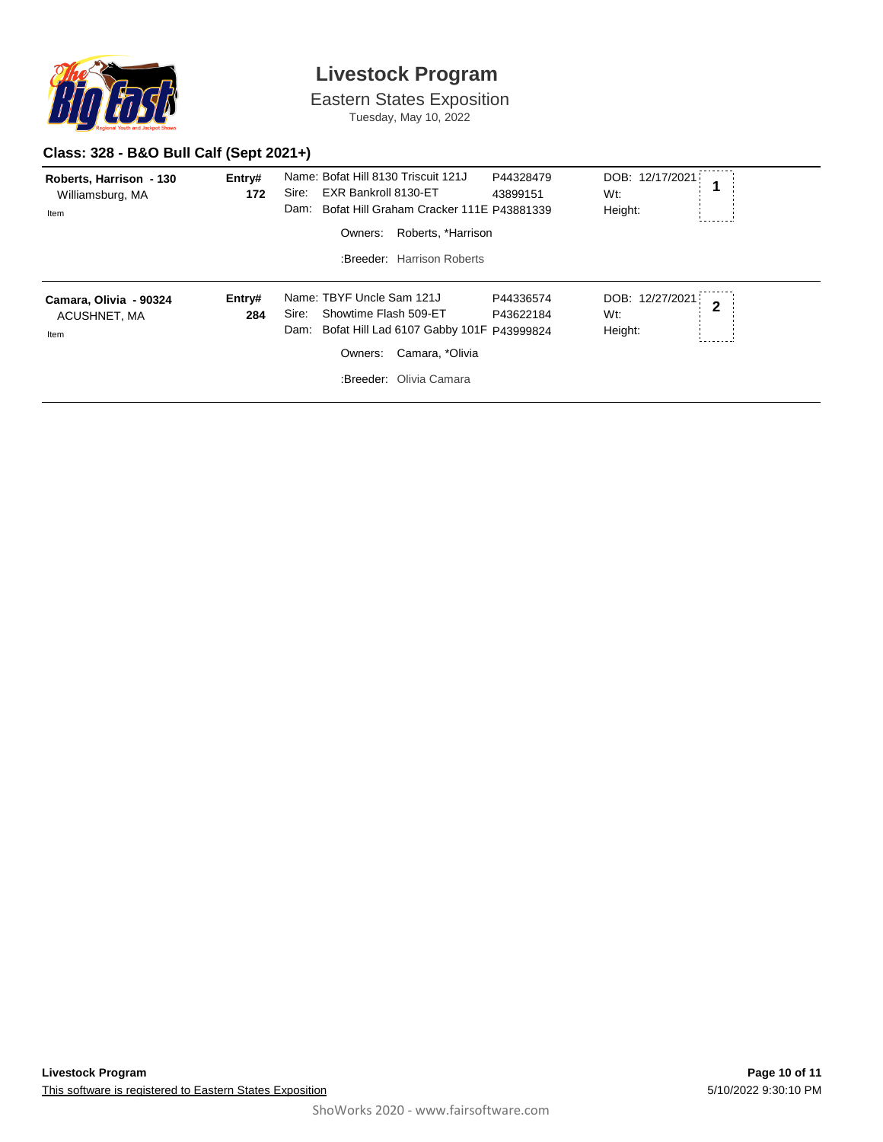

Eastern States Exposition Tuesday, May 10, 2022

### **Class: 328 - B&O Bull Calf (Sept 2021+)**

| Roberts, Harrison - 130<br>Williamsburg, MA<br>Item | Entry#<br>172 | Name: Bofat Hill 8130 Triscuit 121J<br>Sire:<br>EXR Bankroll 8130-ET<br>Dam:<br>Owners:                   | P44328479<br>43899151<br>Bofat Hill Graham Cracker 111E P43881339<br>Roberts, *Harrison | DOB: 12/17/2021<br>Wt:<br>Height: | 1              |
|-----------------------------------------------------|---------------|-----------------------------------------------------------------------------------------------------------|-----------------------------------------------------------------------------------------|-----------------------------------|----------------|
|                                                     |               | :Breeder: Harrison Roberts                                                                                |                                                                                         |                                   |                |
| Camara, Olivia - 90324<br>ACUSHNET, MA<br>Item      | Entry#<br>284 | Name: TBYF Uncle Sam 121J<br>Showtime Flash 509-ET<br>Sire:<br>Dam:<br>Owners:<br>:Breeder: Olivia Camara | P44336574<br>P43622184<br>Bofat Hill Lad 6107 Gabby 101F P43999824<br>Camara, *Olivia   | DOB: 12/27/2021<br>Wt:<br>Height: | $\overline{2}$ |